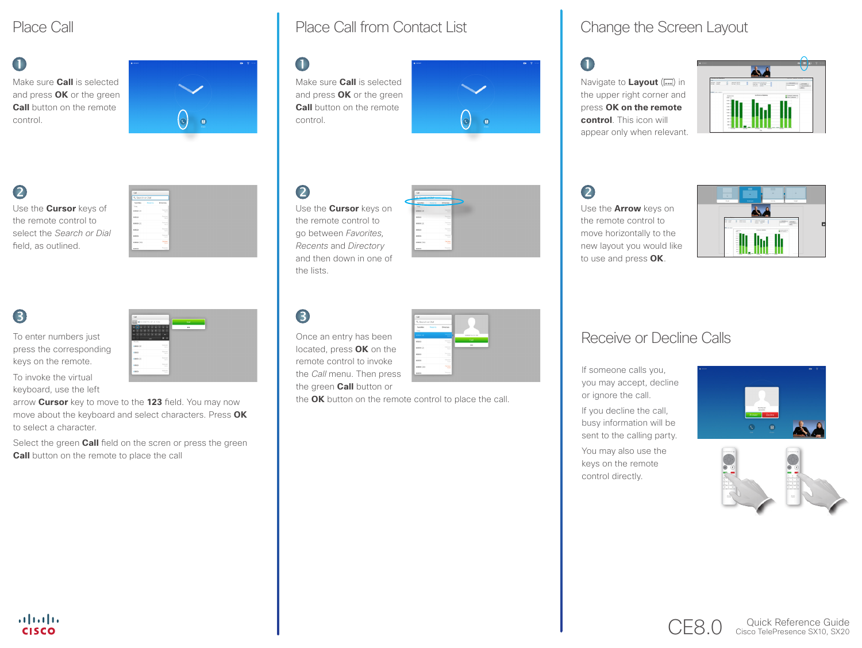# Place Call

## $\blacksquare$

Make sure **Call** is selected and press **OK** or the green **Call** button on the remote control.

# $\bullet$

Use the **Cursor** keys of the remote control to select the *Search or Dial* field, as outlined.



To enter numbers just press the corresponding keys on the remote.

To invoke the virtual keyboard, use the left

arrow **Cursor** key to move to the **123** field. You may now move about the keyboard and select characters. Press **OK** to select a character.

Select the green **Call** field on the scren or press the green **Call** button on the remote to place the call

# Place Call from Contact List Change the Screen Layout

# $\bullet$

Make sure **Call** is selected and press **OK** or the green **Call** button on the remote control.



# $\bullet$

Use the **Cursor** keys on the remote control to go between *Favorites, Recents* and *Directory* and then down in one of the lists.

| Call             |                            |
|------------------|----------------------------|
| G. South at Pine |                            |
| Farantes         | Deestory<br><b>Fooenia</b> |
| <b>Solar</b>     |                            |
| costs (ic)       | <b>Systems</b><br>100      |
| conax            | Received                   |
| 60999 (2)        | <b>Soprant</b><br>7823     |
| sonas            | <b>Recipient</b><br>1995   |
| costs            | Foorivez<br>$-1248$        |
| 60999 (30)       | Certain<br><b>TEN</b>      |
| 60000            | August                     |

# 8

the **OK** button on the remote control to place the call.

 $\blacksquare$ 

Navigate to **Layout** ( $\Box$ ) in the upper right corner and press **OK on the remote control**. This icon will appear only when relevant.



# 2

Use the **Arrow** keys on the remote control to move horizontally to the new layout you would like to use and press **OK**.



### Once an entry has been Receive or Decline Calls

If someone calls you, you may accept, decline or ignore the call.

If you decline the call, busy information will be sent to the calling party.

You may also use the keys on the remote control directly.





CE8.0 Cisco TelePresence SX10, SX20



the *Call* menu. Then press

the green **Call** button or

located, press **OK** on the remote control to invoke